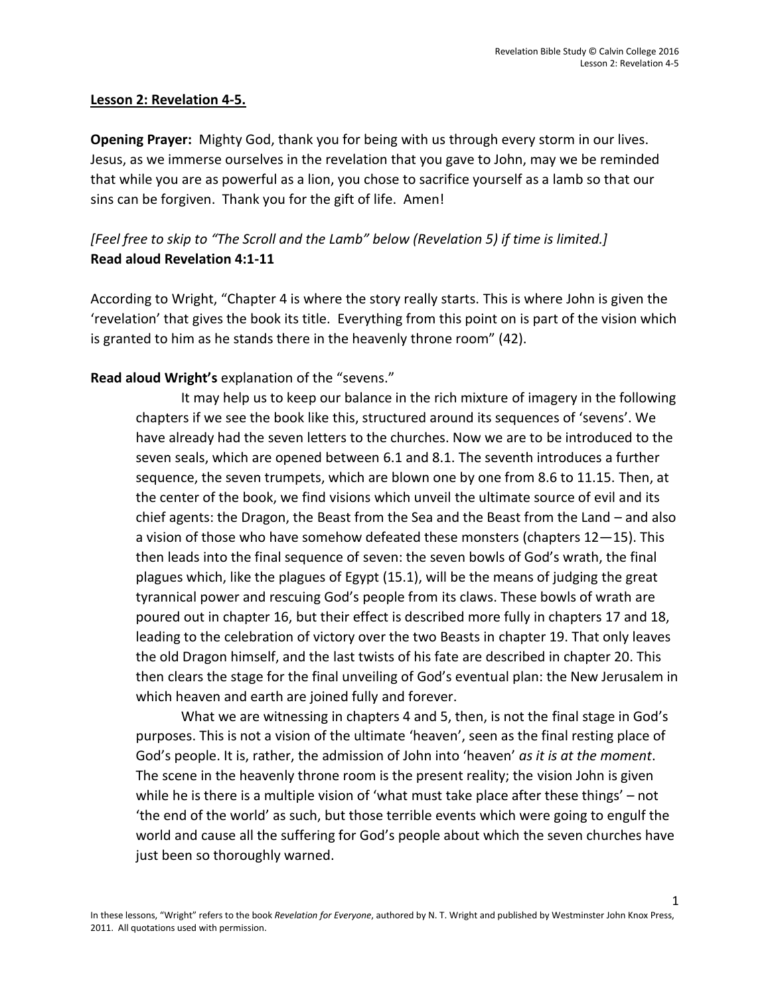#### **Lesson 2: Revelation 4-5.**

**Opening Prayer:** Mighty God, thank you for being with us through every storm in our lives. Jesus, as we immerse ourselves in the revelation that you gave to John, may we be reminded that while you are as powerful as a lion, you chose to sacrifice yourself as a lamb so that our sins can be forgiven. Thank you for the gift of life. Amen!

# *[Feel free to skip to "The Scroll and the Lamb" below (Revelation 5) if time is limited.]* **Read aloud Revelation 4:1-11**

According to Wright, "Chapter 4 is where the story really starts. This is where John is given the 'revelation' that gives the book its title. Everything from this point on is part of the vision which is granted to him as he stands there in the heavenly throne room" (42).

### **Read aloud Wright's** explanation of the "sevens."

It may help us to keep our balance in the rich mixture of imagery in the following chapters if we see the book like this, structured around its sequences of 'sevens'. We have already had the seven letters to the churches. Now we are to be introduced to the seven seals, which are opened between 6.1 and 8.1. The seventh introduces a further sequence, the seven trumpets, which are blown one by one from 8.6 to 11.15. Then, at the center of the book, we find visions which unveil the ultimate source of evil and its chief agents: the Dragon, the Beast from the Sea and the Beast from the Land – and also a vision of those who have somehow defeated these monsters (chapters 12—15). This then leads into the final sequence of seven: the seven bowls of God's wrath, the final plagues which, like the plagues of Egypt (15.1), will be the means of judging the great tyrannical power and rescuing God's people from its claws. These bowls of wrath are poured out in chapter 16, but their effect is described more fully in chapters 17 and 18, leading to the celebration of victory over the two Beasts in chapter 19. That only leaves the old Dragon himself, and the last twists of his fate are described in chapter 20. This then clears the stage for the final unveiling of God's eventual plan: the New Jerusalem in which heaven and earth are joined fully and forever.

What we are witnessing in chapters 4 and 5, then, is not the final stage in God's purposes. This is not a vision of the ultimate 'heaven', seen as the final resting place of God's people. It is, rather, the admission of John into 'heaven' *as it is at the moment*. The scene in the heavenly throne room is the present reality; the vision John is given while he is there is a multiple vision of 'what must take place after these things' – not 'the end of the world' as such, but those terrible events which were going to engulf the world and cause all the suffering for God's people about which the seven churches have just been so thoroughly warned.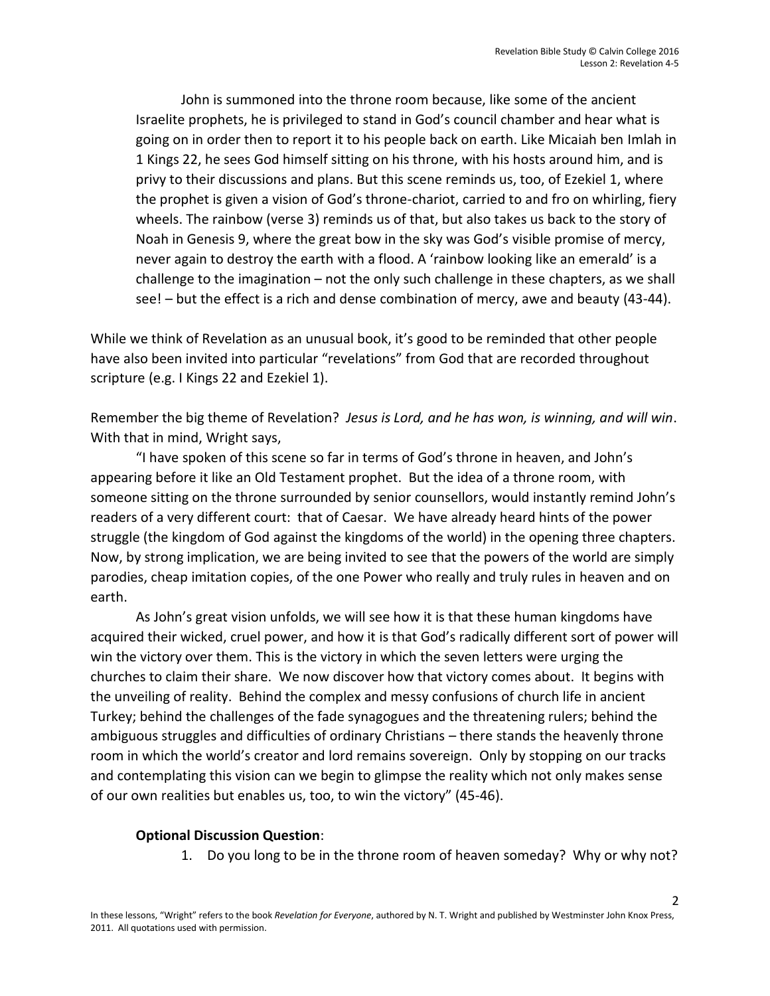John is summoned into the throne room because, like some of the ancient Israelite prophets, he is privileged to stand in God's council chamber and hear what is going on in order then to report it to his people back on earth. Like Micaiah ben Imlah in 1 Kings 22, he sees God himself sitting on his throne, with his hosts around him, and is privy to their discussions and plans. But this scene reminds us, too, of Ezekiel 1, where the prophet is given a vision of God's throne-chariot, carried to and fro on whirling, fiery wheels. The rainbow (verse 3) reminds us of that, but also takes us back to the story of Noah in Genesis 9, where the great bow in the sky was God's visible promise of mercy, never again to destroy the earth with a flood. A 'rainbow looking like an emerald' is a challenge to the imagination – not the only such challenge in these chapters, as we shall see! – but the effect is a rich and dense combination of mercy, awe and beauty (43-44).

While we think of Revelation as an unusual book, it's good to be reminded that other people have also been invited into particular "revelations" from God that are recorded throughout scripture (e.g. I Kings 22 and Ezekiel 1).

Remember the big theme of Revelation? *Jesus is Lord, and he has won, is winning, and will win*. With that in mind, Wright says,

"I have spoken of this scene so far in terms of God's throne in heaven, and John's appearing before it like an Old Testament prophet. But the idea of a throne room, with someone sitting on the throne surrounded by senior counsellors, would instantly remind John's readers of a very different court: that of Caesar. We have already heard hints of the power struggle (the kingdom of God against the kingdoms of the world) in the opening three chapters. Now, by strong implication, we are being invited to see that the powers of the world are simply parodies, cheap imitation copies, of the one Power who really and truly rules in heaven and on earth.

As John's great vision unfolds, we will see how it is that these human kingdoms have acquired their wicked, cruel power, and how it is that God's radically different sort of power will win the victory over them. This is the victory in which the seven letters were urging the churches to claim their share. We now discover how that victory comes about. It begins with the unveiling of reality. Behind the complex and messy confusions of church life in ancient Turkey; behind the challenges of the fade synagogues and the threatening rulers; behind the ambiguous struggles and difficulties of ordinary Christians – there stands the heavenly throne room in which the world's creator and lord remains sovereign. Only by stopping on our tracks and contemplating this vision can we begin to glimpse the reality which not only makes sense of our own realities but enables us, too, to win the victory" (45-46).

#### **Optional Discussion Question**:

1. Do you long to be in the throne room of heaven someday? Why or why not?

2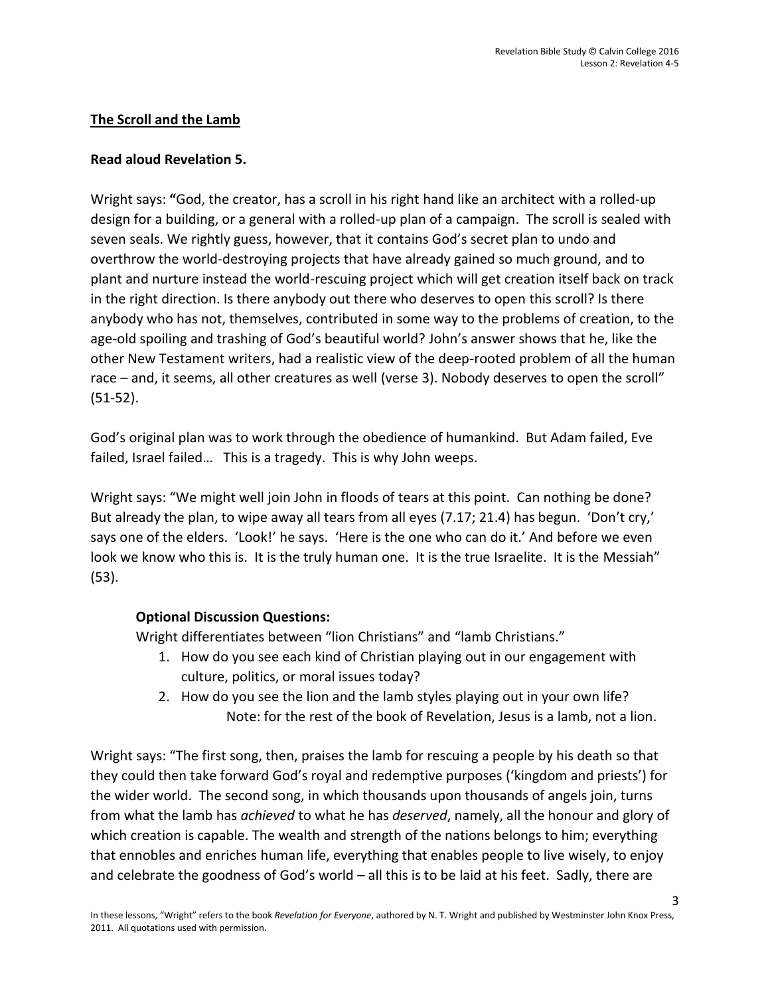# **The Scroll and the Lamb**

#### **Read aloud Revelation 5.**

Wright says: **"**God, the creator, has a scroll in his right hand like an architect with a rolled-up design for a building, or a general with a rolled-up plan of a campaign. The scroll is sealed with seven seals. We rightly guess, however, that it contains God's secret plan to undo and overthrow the world-destroying projects that have already gained so much ground, and to plant and nurture instead the world-rescuing project which will get creation itself back on track in the right direction. Is there anybody out there who deserves to open this scroll? Is there anybody who has not, themselves, contributed in some way to the problems of creation, to the age-old spoiling and trashing of God's beautiful world? John's answer shows that he, like the other New Testament writers, had a realistic view of the deep-rooted problem of all the human race – and, it seems, all other creatures as well (verse 3). Nobody deserves to open the scroll" (51-52).

God's original plan was to work through the obedience of humankind. But Adam failed, Eve failed, Israel failed… This is a tragedy. This is why John weeps.

Wright says: "We might well join John in floods of tears at this point. Can nothing be done? But already the plan, to wipe away all tears from all eyes (7.17; 21.4) has begun. 'Don't cry,' says one of the elders. 'Look!' he says. 'Here is the one who can do it.' And before we even look we know who this is. It is the truly human one. It is the true Israelite. It is the Messiah" (53).

### **Optional Discussion Questions:**

Wright differentiates between "lion Christians" and "lamb Christians."

- 1. How do you see each kind of Christian playing out in our engagement with culture, politics, or moral issues today?
- 2. How do you see the lion and the lamb styles playing out in your own life? Note: for the rest of the book of Revelation, Jesus is a lamb, not a lion.

Wright says: "The first song, then, praises the lamb for rescuing a people by his death so that they could then take forward God's royal and redemptive purposes ('kingdom and priests') for the wider world. The second song, in which thousands upon thousands of angels join, turns from what the lamb has *achieved* to what he has *deserved*, namely, all the honour and glory of which creation is capable. The wealth and strength of the nations belongs to him; everything that ennobles and enriches human life, everything that enables people to live wisely, to enjoy and celebrate the goodness of God's world – all this is to be laid at his feet. Sadly, there are